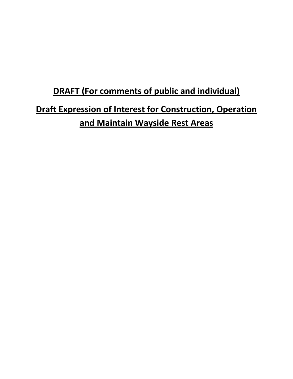# **DRAFT (For comments of public and individual) Draft Expression of Interest for Construction, Operation and Maintain Wayside Rest Areas**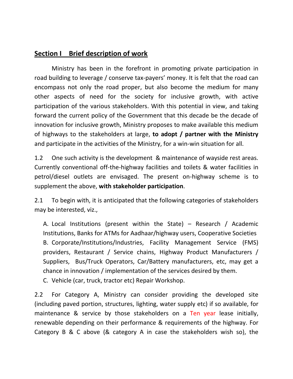# **Section I Brief description of work**

Ministry has been in the forefront in promoting private participation in road building to leverage / conserve tax-payers' money. It is felt that the road can encompass not only the road proper, but also become the medium for many other aspects of need for the society for inclusive growth, with active participation of the various stakeholders. With this potential in view, and taking forward the current policy of the Government that this decade be the decade of innovation for inclusive growth, Ministry proposes to make available this medium of highways to the stakeholders at large, **to adopt / partner with the Ministry** and participate in the activities of the Ministry, for a win-win situation for all.

1.2 One such activity is the development & maintenance of wayside rest areas. Currently conventional off-the-highway facilities and toilets & water facilities in petrol/diesel outlets are envisaged. The present on-highway scheme is to supplement the above, **with stakeholder participation**.

2.1 To begin with, it is anticipated that the following categories of stakeholders may be interested, viz.,

A. Local Institutions (present within the State) – Research / Academic Institutions, Banks for ATMs for Aadhaar/highway users, Cooperative Societies B. Corporate/Institutions/Industries, Facility Management Service (FMS) providers, Restaurant / Service chains, Highway Product Manufacturers / Suppliers, Bus/Truck Operators, Car/Battery manufacturers, etc, may get a chance in innovation / implementation of the services desired by them.

C. Vehicle (car, truck, tractor etc) Repair Workshop.

2.2 For Category A, Ministry can consider providing the developed site (including paved portion, structures, lighting, water supply etc) if so available, for maintenance & service by those stakeholders on a Ten year lease initially, renewable depending on their performance & requirements of the highway. For Category B & C above (& category A in case the stakeholders wish so), the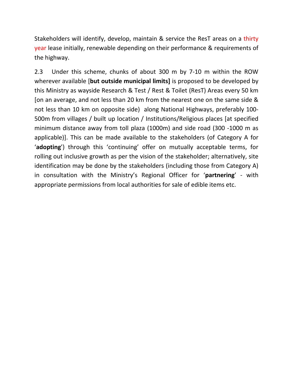Stakeholders will identify, develop, maintain & service the ResT areas on a thirty year lease initially, renewable depending on their performance & requirements of the highway.

2.3 Under this scheme, chunks of about 300 m by 7-10 m within the ROW wherever available [**but outside municipal limits]** is proposed to be developed by this Ministry as wayside Research & Test / Rest & Toilet (ResT) Areas every 50 km [on an average, and not less than 20 km from the nearest one on the same side & not less than 10 km on opposite side) along National Highways, preferably 100- 500m from villages / built up location / Institutions/Religious places [at specified minimum distance away from toll plaza (1000m) and side road (300 -1000 m as applicable)]. This can be made available to the stakeholders (of Category A for '**adopting**') through this 'continuing' offer on mutually acceptable terms, for rolling out inclusive growth as per the vision of the stakeholder; alternatively, site identification may be done by the stakeholders (including those from Category A) in consultation with the Ministry's Regional Officer for '**partnering**' - with appropriate permissions from local authorities for sale of edible items etc.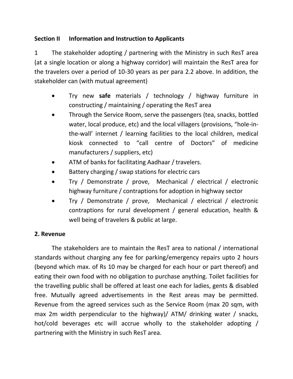# **Section II Information and Instruction to Applicants**

1 The stakeholder adopting / partnering with the Ministry in such ResT area (at a single location or along a highway corridor) will maintain the ResT area for the travelers over a period of 10-30 years as per para 2.2 above. In addition, the stakeholder can (with mutual agreement)

- Try new **safe** materials / technology / highway furniture in constructing / maintaining / operating the ResT area
- Through the Service Room, serve the passengers (tea, snacks, bottled water, local produce, etc) and the local villagers (provisions, "hole-inthe-wall' internet / learning facilities to the local children, medical kiosk connected to "call centre of Doctors" of medicine manufacturers / suppliers, etc)
- ATM of banks for facilitating Aadhaar / travelers.
- Battery charging / swap stations for electric cars
- Try / Demonstrate / prove, Mechanical / electrical / electronic highway furniture / contraptions for adoption in highway sector
- Try / Demonstrate / prove, Mechanical / electrical / electronic contraptions for rural development / general education, health & well being of travelers & public at large.

## **2. Revenue**

The stakeholders are to maintain the ResT area to national / international standards without charging any fee for parking/emergency repairs upto 2 hours (beyond which max. of Rs 10 may be charged for each hour or part thereof) and eating their own food with no obligation to purchase anything. Toilet facilities for the travelling public shall be offered at least one each for ladies, gents & disabled free. Mutually agreed advertisements in the Rest areas may be permitted. Revenue from the agreed services such as the Service Room (max 20 sqm, with max 2m width perpendicular to the highway)/ ATM/ drinking water / snacks, hot/cold beverages etc will accrue wholly to the stakeholder adopting / partnering with the Ministry in such ResT area.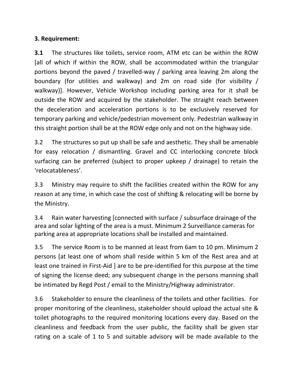## **3. Requirement:**

**3.1** The structures like toilets, service room, ATM etc can be within the ROW [all of which if within the ROW, shall be accommodated within the triangular portions beyond the paved / travelled-way / parking area leaving 2m along the boundary (for utilities and walkway) and 2m on road side (for visibility / walkway)]. However, Vehicle Workshop including parking area for it shall be outside the ROW and acquired by the stakeholder. The straight reach between the deceleration and acceleration portions is to be exclusively reserved for temporary parking and vehicle/pedestrian movement only. Pedestrian walkway in this straight portion shall be at the ROW edge only and not on the highway side.

3.2 The structures so put up shall be safe and aesthetic. They shall be amenable for easy relocation / dismantling. Gravel and CC interlocking concrete block surfacing can be preferred (subject to proper upkeep / drainage) to retain the 'relocatableness'.

3.3 Ministry may require to shift the facilities created within the ROW for any reason at any time, in which case the cost of shifting & relocating will be borne by the Ministry.

3.4 Rain water harvesting [connected with surface / subsurface drainage of the area and solar lighting of the area is a must. Minimum 2 Surveillance cameras for parking area at appropriate locations shall be installed and maintained.

3.5 The service Room is to be manned at least from 6am to 10 pm. Minimum 2 persons [at least one of whom shall reside within 5 km of the Rest area and at least one trained in First-Aid ] are to be pre-identified for this purpose at the time of signing the license deed; any subsequent change in the persons manning shall be intimated by Regd Post / email to the Ministry/Highway administrator.

3.6 Stakeholder to ensure the cleanliness of the toilets and other facilities. For proper monitoring of the cleanliness, stakeholder should upload the actual site & toilet photographs to the required monitoring locations every day. Based on the cleanliness and feedback from the user public, the facility shall be given star rating on a scale of 1 to 5 and suitable advisory will be made available to the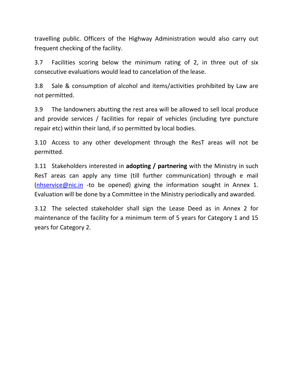travelling public. Officers of the Highway Administration would also carry out frequent checking of the facility.

3.7 Facilities scoring below the minimum rating of 2, in three out of six consecutive evaluations would lead to cancelation of the lease.

3.8 Sale & consumption of alcohol and items/activities prohibited by Law are not permitted.

3.9 The landowners abutting the rest area will be allowed to sell local produce and provide services / facilities for repair of vehicles (including tyre puncture repair etc) within their land, if so permitted by local bodies.

3.10 Access to any other development through the ResT areas will not be permitted.

3.11 Stakeholders interested in **adopting / partnering** with the Ministry in such ResT areas can apply any time (till further communication) through e mail [\(nhservice@nic.in](mailto:nhservice@nic.in) -to be opened) giving the information sought in Annex 1. Evaluation will be done by a Committee in the Ministry periodically and awarded.

3.12 The selected stakeholder shall sign the Lease Deed as in Annex 2 for maintenance of the facility for a minimum term of 5 years for Category 1 and 15 years for Category 2.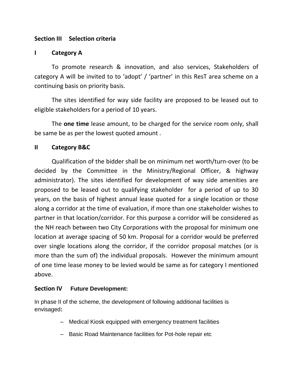## **Section III Selection criteria**

## **I Category A**

To promote research & innovation, and also services, Stakeholders of category A will be invited to to 'adopt' / 'partner' in this ResT area scheme on a continuing basis on priority basis.

The sites identified for way side facility are proposed to be leased out to eligible stakeholders for a period of 10 years.

The **one time** lease amount, to be charged for the service room only, shall be same be as per the lowest quoted amount .

## **II Category B&C**

Qualification of the bidder shall be on minimum net worth/turn-over (to be decided by the Committee in the Ministry/Regional Officer, & highway administrator). The sites identified for development of way side amenities are proposed to be leased out to qualifying stakeholder for a period of up to 30 years, on the basis of highest annual lease quoted for a single location or those along a corridor at the time of evaluation, if more than one stakeholder wishes to partner in that location/corridor. For this purpose a corridor will be considered as the NH reach between two City Corporations with the proposal for minimum one location at average spacing of 50 km. Proposal for a corridor would be preferred over single locations along the corridor, if the corridor proposal matches (or is more than the sum of) the individual proposals. However the minimum amount of one time lease money to be levied would be same as for category I mentioned above.

### **Section IV Future Development:**

In phase II of the scheme, the development of following additional facilities is envisaged**:**

- Medical Kiosk equipped with emergency treatment facilities
- Basic Road Maintenance facilities for Pot-hole repair etc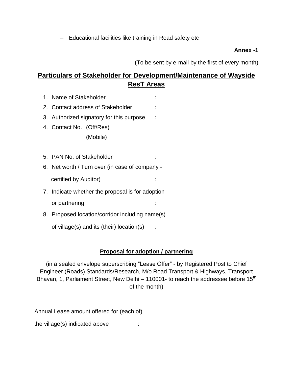– Educational facilities like training in Road safety etc

### **Annex -1**

(To be sent by e-mail by the first of every month)

# **Particulars of Stakeholder for Development/Maintenance of Wayside ResT Areas**

- 1. Name of Stakeholder :
- 2. Contact address of Stakeholder :
- 3. Authorized signatory for this purpose :
- 4. Contact No. (Off/Res) (Mobile)
- 5. PAN No. of Stakeholder :
- 6. Net worth / Turn over (in case of company -

certified by Auditor)

- 7. Indicate whether the proposal is for adoption or partnering in the set of the set of the set of the set of the set of the set of the set of the set of the set of the set of the set of the set of the set of the set of the set of the set of the set of the set of the set
- 8. Proposed location/corridor including name(s)

of village(s) and its (their) location(s) :

## **Proposal for adoption / partnering**

(in a sealed envelope superscribing "Lease Offer" - by Registered Post to Chief Engineer (Roads) Standards/Research, M/o Road Transport & Highways, Transport Bhavan, 1, Parliament Street, New Delhi – 110001- to reach the addressee before  $15<sup>th</sup>$ of the month)

Annual Lease amount offered for (each of)

the village(s) indicated above :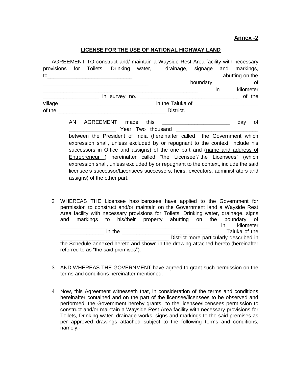#### **Annex -2**

#### **LICENSE FOR THE USE OF NATIONAL HIGHWAY LAND**

|                    |  |  |  |  | AGREEMENT TO construct and/ maintain a Wayside Rest Area facility with necessary |          |    |                 |
|--------------------|--|--|--|--|----------------------------------------------------------------------------------|----------|----|-----------------|
|                    |  |  |  |  | provisions for Toilets, Drinking water, drainage, signage and markings,          |          |    |                 |
|                    |  |  |  |  |                                                                                  |          |    | abutting on the |
|                    |  |  |  |  |                                                                                  | boundary |    | of              |
|                    |  |  |  |  |                                                                                  |          | ın | kilometer       |
|                    |  |  |  |  |                                                                                  |          |    | of the          |
| village __________ |  |  |  |  | in the Taluka of                                                                 |          |    |                 |
| of the $\_\_$      |  |  |  |  | District.                                                                        |          |    |                 |
|                    |  |  |  |  |                                                                                  |          |    |                 |

AN AGREEMENT made this **Example 19 and 19 and 19 and 19 and 19 and 19 and 19 and 19 and 19 and 19 and 19 and 19 and 19 and 19 and 19 and 19 and 19 and 19 and 19 and 19 and 19 and 19 and 19 and 19 and 19 and 19 and 19 and 1** Year Two thousand between the President of India (hereinafter called the Government which expression shall, unless excluded by or repugnant to the context, include his successors in Office and assigns) of the one part and (name and address of Entrepreneur ) hereinafter called "the Licensee"/"the Licensees" (which expression shall, unless excluded by or repugnant to the context, include the said licensee's successor/Licensees successors, heirs, executors, administrators and assigns) of the other part.

2 WHEREAS THE Licensee has/licensees have applied to the Government for permission to construct and/or maintain on the Government land a Wayside Rest Area facility with necessary provisions for Toilets, Drinking water, drainage, signs and markings to his/their property abutting on the boundary of \_\_\_\_\_\_\_\_\_\_\_\_\_\_\_\_\_\_\_\_\_\_\_\_\_\_\_\_\_\_\_\_\_\_\_\_\_\_\_\_\_\_\_\_\_\_\_\_\_\_\_ in kilometer \_\_\_\_\_\_\_\_\_\_\_\_\_\_\_ in the \_\_\_\_\_\_\_\_\_\_\_\_\_\_\_\_\_\_\_\_\_\_\_\_\_\_\_\_\_\_\_\_\_\_\_ Taluka of the District more particularly described in the Schedule annexed hereto and shown in the drawing attached hereto (hereinafter

referred to as "the said premises").

- 3 AND WHEREAS THE GOVERNMENT have agreed to grant such permission on the terms and conditions hereinafter mentioned.
- 4 Now, this Agreement witnesseth that, in consideration of the terms and conditions hereinafter contained and on the part of the licensee/licensees to be observed and performed, the Government hereby grants to the licensee/licensees permission to construct and/or maintain a Wayside Rest Area facility with necessary provisions for Toilets, Drinking water, drainage works, signs and markings to the said premises as per approved drawings attached subject to the following terms and conditions, namely:-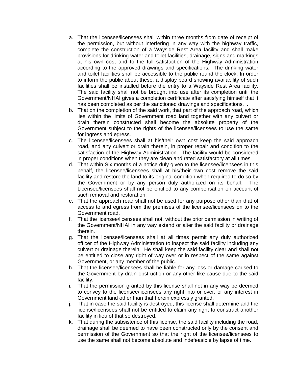- a. That the licensee/licensees shall within three months from date of receipt of the permission, but without interfering in any way with the highway traffic, complete the construction of a Wayside Rest Area facility and shall make provisions for drinking water and toilet facilities, drainage, signs and markings at his own cost and to the full satisfaction of the Highway Administration according to the approved drawings and specifications. The drinking water and toilet facilities shall be accessible to the public round the clock. In order to inform the public about these, a display board showing availability of such facilities shall be installed before the entry to a Wayside Rest Area facility. The said facility shall not be brought into use after its completion until the Government/NHAI gives a completion certificate after satisfying himself that it has been completed as per the sanctioned drawings and specifications...
- b. That on the completion of the said work, that part of the approach road, which lies within the limits of Government road land together with any culvert or drain therein constructed shall become the absolute property of the Government subject to the rights of the licensee/licensees to use the same for ingress and egress.
- c. The licensee/licensees shall at his/their own cost keep the said approach road, and any culvert or drain therein, in proper repair and condition to the satisfaction of the Highway Administration. The facility would be considered in proper conditions when they are clean and rated satisfactory at all times.
- d. That within Six months of a notice duly given to the licensee/licensees in this behalf, the licensee/licensees shall at his/their own cost remove the said facility and restore the land to its original condition when required to do so by the Government or by any person duly authorized on its behalf. The Licensee/licensees shall not be entitled to any compensation on account of such removal and restoration.
- e. That the approach road shall not be used for any purpose other than that of access to and egress from the premises of the licensee/licensees on to the Government road.
- f. That the licensee/licensees shall not, without the prior permission in writing of the Government/NHAI in any way extend or alter the said facility or drainage therein.
- g. That the licensee/licensees shall at all times permit any duly authorized officer of the Highway Administration to inspect the said facility including any culvert or drainage therein. He shall keep the said facility clear and shall not be entitled to close any right of way over or in respect of the same against Government, or any member of the public.
- h. That the licensee/licensees shall be liable for any loss or damage caused to the Government by drain obstruction or any other like cause due to the said facility.
- i. That the permission granted by this license shall not in any way be deemed to convey to the licensee/licensees any right into or over, or any interest in Government land other than that herein expressly granted.
- j. That in case the said facility is destroyed, this license shall determine and the license/licensees shall not be entitled to claim any right to construct another facility in lieu of that so destroyed.
- k. That during the subsistence of this license, the said facility including the road, drainage shall be deemed to have been constructed only by the consent and permission of the Government so that the right of the licensee/licensees to use the same shall not become absolute and indefeasible by lapse of time.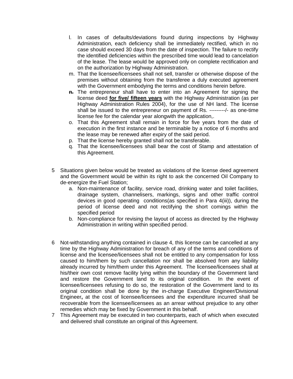- l. In cases of defaults/deviations found during inspections by Highway Administration, each deficiency shall be immediately rectified, which in no case should exceed 30 days from the date of inspection. The failure to rectify the identified deficiencies within the prescribed time would lead to cancelation of the lease. The lease would be approved only on complete rectification and on the authorization by Highway Administration.
- m. That the licensee/licensees shall not sell, transfer or otherwise dispose of the premises without obtaining from the transferee a duly executed agreement with the Government embodying the terms and conditions herein before.
- **n.** The entrepreneur shall have to enter into an Agreement for signing the license deed **for five/ fifteen years** with the Highway Administration (as per Highway Administration Rules 2004), for the use of NH land. The license shall be issued to the entrepreneur on payment of Rs. ---------/- as one-time license fee for the calendar year alongwith the application,.
- o. That this Agreement shall remain in force for five years from the date of execution in the first instance and be terminable by a notice of 6 months and the lease may be renewed after expiry of the said period.
- p. That the license hereby granted shall not be transferable.
- q. That the licensee/licensees shall bear the cost of Stamp and attestation of this Agreement.
- 5 Situations given below would be treated as violations of the license deed agreement and the Government would be within its right to ask the concerned Oil Company to de-energize the Fuel Station;
	- a. Non-maintenance of facility, service road, drinking water and toilet facilities, drainage system, channelisers, markings, signs and other traffic control devices in good operating conditions(as specified in Para 4(iii)), during the period of license deed and not rectifying the short comings within the specified period
	- b. Non-compliance for revising the layout of access as directed by the Highway Administration in writing within specified period.
- 6 Not-withstanding anything contained in clause 4, this license can be cancelled at any time by the Highway Administration for breach of any of the terms and conditions of license and the licensee/licensees shall not be entitled to any compensation for loss caused to him/them by such cancellation nor shall be absolved from any liability already incurred by him/them under this Agreement. The licensee/licensees shall at his/their own cost remove facility lying within the boundary of the Government land and restore the Government land to its original condition. In the event of licensee/licensees refusing to do so, the restoration of the Government land to its original condition shall be done by the in-charge Executive Engineer/Divisional Engineer**,** at the cost of licensee/licensees and the expenditure incurred shall be recoverable from the licensee/licensees as an arrear without prejudice to any other remedies which may be fixed by Government in this behalf.
- 7 This Agreement may be executed in two counterparts, each of which when executed and delivered shall constitute an original of this Agreement.